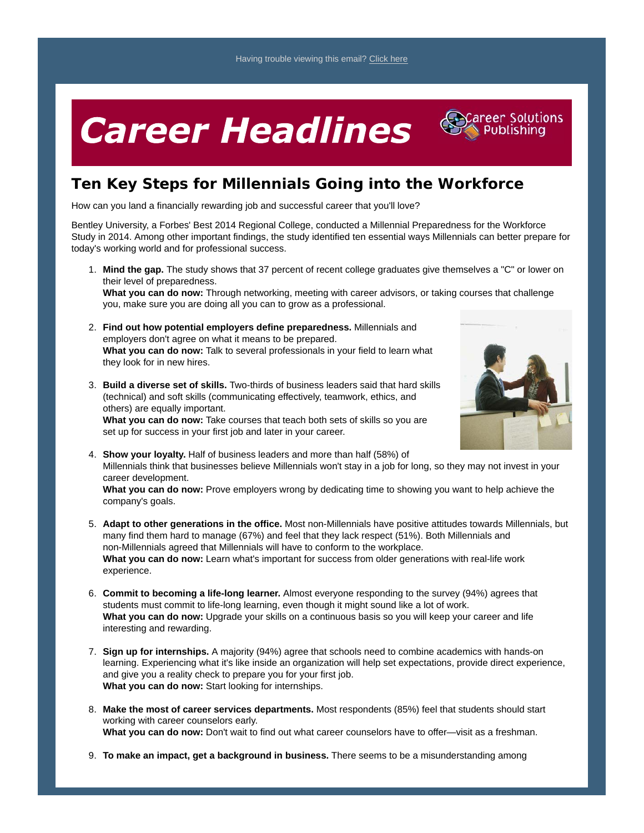## **Career Headlines**



## **Ten Key Steps for Millennials Going into the Workforce**

How can you land a financially rewarding job and successful career that you'll love?

Bentley University, a Forbes' Best 2014 Regional College, conducted a Millennial Preparedness for the Workforce Study in 2014. Among other important findings, the study identified ten essential ways Millennials can better prepare for today's working world and for professional success.

**Mind the gap.** The study shows that 37 percent of recent college graduates give themselves a "C" or lower on 1. their level of preparedness.

**What you can do now:** Through networking, meeting with career advisors, or taking courses that challenge you, make sure you are doing all you can to grow as a professional.

- **Find out how potential employers define preparedness.** Millennials and 2. employers don't agree on what it means to be prepared. **What you can do now:** Talk to several professionals in your field to learn what they look for in new hires.
- **Build a diverse set of skills.** Two-thirds of business leaders said that hard skills 3. (technical) and soft skills (communicating effectively, teamwork, ethics, and others) are equally important.

**What you can do now:** Take courses that teach both sets of skills so you are set up for success in your first job and later in your career.



**Show your loyalty.** Half of business leaders and more than half (58%) of 4. Millennials think that businesses believe Millennials won't stay in a job for long, so they may not invest in your career development.

**What you can do now:** Prove employers wrong by dedicating time to showing you want to help achieve the company's goals.

- **Adapt to other generations in the office.** Most non-Millennials have positive attitudes towards Millennials, but 5. many find them hard to manage (67%) and feel that they lack respect (51%). Both Millennials and non-Millennials agreed that Millennials will have to conform to the workplace. **What you can do now:** Learn what's important for success from older generations with real-life work experience.
- **Commit to becoming a life-long learner.** Almost everyone responding to the survey (94%) agrees that 6. students must commit to life-long learning, even though it might sound like a lot of work. **What you can do now:** Upgrade your skills on a continuous basis so you will keep your career and life interesting and rewarding.
- **Sign up for internships.** A majority (94%) agree that schools need to combine academics with hands-on 7. learning. Experiencing what it's like inside an organization will help set expectations, provide direct experience, and give you a reality check to prepare you for your first job. **What you can do now:** Start looking for internships.
- **Make the most of career services departments.** Most respondents (85%) feel that students should start 8. working with career counselors early. **What you can do now:** Don't wait to find out what career counselors have to offer—visit as a freshman.
- 9. **To make an impact, get a background in business.** There seems to be a misunderstanding among